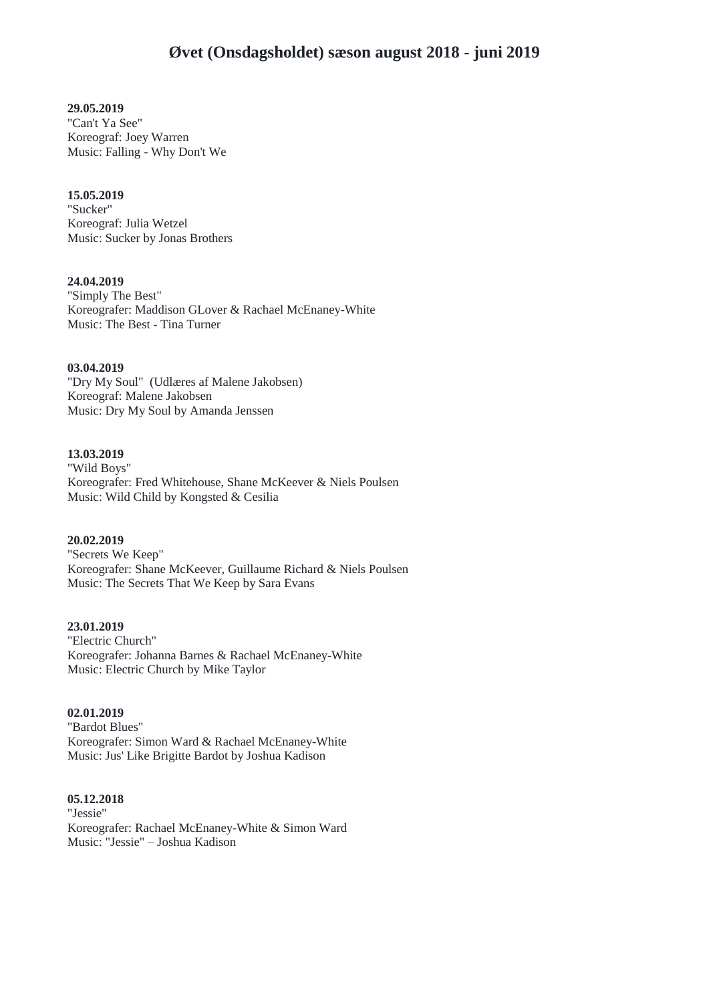# **29.05.2019**

"Can't Ya See" Koreograf: Joey Warren Music: Falling - Why Don't We

### **15.05.2019**

"Sucker" Koreograf: Julia Wetzel Music: Sucker by Jonas Brothers

# **24.04.2019**

"Simply The Best" Koreografer: Maddison GLover & Rachael McEnaney-White Music: The Best - Tina Turner

# **03.04.2019**

"Dry My Soul" (Udlæres af Malene Jakobsen) Koreograf: Malene Jakobsen Music: Dry My Soul by Amanda Jenssen

# **13.03.2019**

"Wild Boys" Koreografer: Fred Whitehouse, Shane McKeever & Niels Poulsen Music: Wild Child by Kongsted & Cesilia

# **20.02.2019**

"Secrets We Keep" Koreografer: Shane McKeever, Guillaume Richard & Niels Poulsen Music: The Secrets That We Keep by Sara Evans

#### **23.01.2019**

"Electric Church" Koreografer: Johanna Barnes & Rachael McEnaney-White Music: Electric Church by Mike Taylor

#### **02.01.2019**

"Bardot Blues" Koreografer: Simon Ward & Rachael McEnaney-White Music: Jus' Like Brigitte Bardot by Joshua Kadison

#### **05.12.2018**

"Jessie" Koreografer: Rachael McEnaney-White & Simon Ward Music: "Jessie" – Joshua Kadison